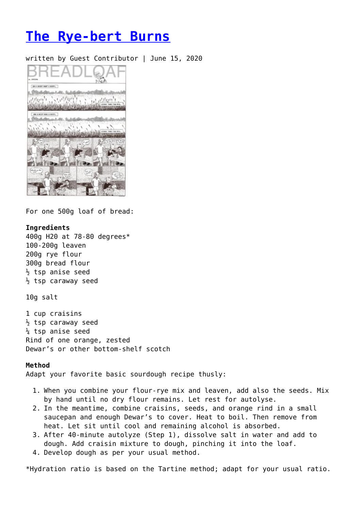# **[The Rye-bert Burns](https://entropymag.org/the-rye-bert-burns/)**

## written by Guest Contributor | June 15, 2020



For one 500g loaf of bread:

### **Ingredients**

400g H20 at 78-80 degrees\* 100-200g leaven 200g rye flour 300g bread flour  $\frac{1}{2}$  tsp anise seed  $\frac{1}{2}$  tsp caraway seed

## 10g salt

1 cup craisins  $\frac{1}{2}$  tsp caraway seed  $\frac{1}{4}$  tsp anise seed Rind of one orange, zested Dewar's or other bottom-shelf scotch

#### **Method**

Adapt your favorite basic sourdough recipe thusly:

- 1. When you combine your flour-rye mix and leaven, add also the seeds. Mix by hand until no dry flour remains. Let rest for autolyse.
- 2. In the meantime, combine craisins, seeds, and orange rind in a small saucepan and enough Dewar's to cover. Heat to boil. Then remove from heat. Let sit until cool and remaining alcohol is absorbed.
- 3. After 40-minute autolyze (Step 1), dissolve salt in water and add to dough. Add craisin mixture to dough, pinching it into the loaf.
- 4. Develop dough as per your usual method.

\*Hydration ratio is based on the Tartine method; adapt for your usual ratio.